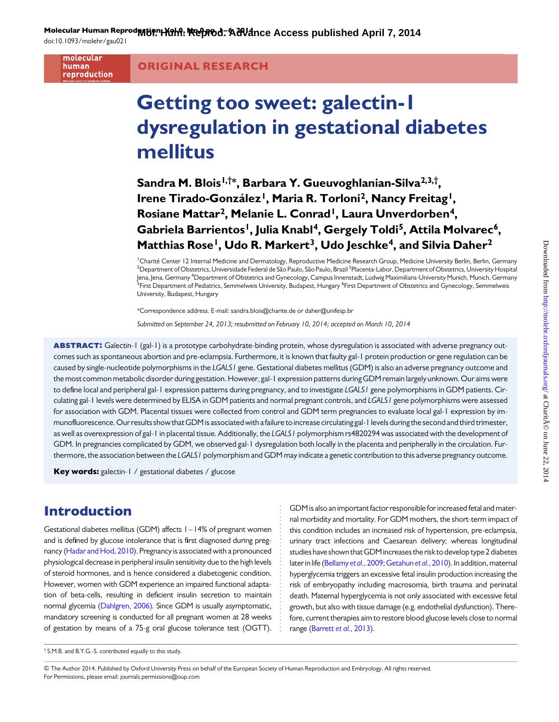Molecular Human Reprod**rution, Yohn: Reforod-Adva**nce Access published April 7, 2014

doi:10.1093/molehr/gau021

molecular human reproduction

ORIGINAL RESEARCH

# Getting too sweet: galectin-1 dysregulation in gestational diabetes mellitus

Sandra M. Blois<sup>I,†\*</sup>, Barbara Y. Gueuvoghlanian-Silva<sup>2,3,†</sup>, Irene Tirado-González<sup>1</sup>, Maria R. Torloni<sup>2</sup>, Nancy Freitag<sup>1</sup>, Rosiane Mattar<sup>2</sup>, Melanie L. Conrad<sup>1</sup>, Laura Unverdorben<sup>4</sup>, Gabriela Barrientos<sup>1</sup>, Julia Knabl<sup>4</sup>, Gergely Toldi<sup>5</sup>, Attila Molvarec<sup>6</sup>, Matthias Rose<sup>1</sup>, Udo R. Markert<sup>3</sup>, Udo Jeschke<sup>4</sup>, and Silvia Daher<sup>2</sup>

<sup>1</sup>Charité Center 12 Internal Medicine and Dermatology, Reproductive Medicine Research Group, Medicine University Berlin, Berlin, Germany<br><sup>2</sup>Department of Obstatrics Universidade Federal de São Paulo, São Paulo, Brazil <sup>3</sup> Department of Obstetrics, Universidade Federal de São Paulo, São Paulo, Brazil <sup>3</sup>Placenta-Labor, Department of Obstetrics, University Hospital Jena, Jena, Germany <sup>4</sup>Department of Obstetrics and Gynecology, Campus Innenstadt, Ludwig Maximilians-University Munich, Munich, Germany<br><sup>5</sup>First Department of Pediatrics, Semmelweis University, Budapest, Hungapy <sup>6</sup>First First Department of Pediatrics, Semmelweis University, Budapest, Hungary <sup>6</sup>First Department of Obstetrics and Gynecology, Semmelweis University, Budapest, Hungary

\*Correspondence address. E-mail: sandra.blois@charite.de or daher@unifesp.br

Submitted on September 24, 2013; resubmitted on February 10, 2014; accepted on March 10, 2014

ABSTRACT: Galectin-1 (gal-1) is a prototype carbohydrate-binding protein, whose dysregulation is associated with adverse pregnancy outcomes such as spontaneous abortion and pre-eclampsia. Furthermore, it is known that faulty gal-1 protein production or gene regulation can be caused by single-nucleotide polymorphisms in the LGALS1 gene. Gestational diabetes mellitus (GDM) is also an adverse pregnancy outcome and the most common metabolic disorder during gestation. However, gal-1 expression patterns during GDM remain largely unknown. Our aims were to define local and peripheral gal-1 expression patterns during pregnancy, and to investigate LGALS1 gene polymorphisms in GDM patients. Circulating gal-1 levels were determined by ELISA in GDM patients and normal pregnant controls, and LGALS1 gene polymorphisms were assessed for association with GDM. Placental tissues were collected from control and GDM term pregnancies to evaluate local gal-1 expression by immunofluorescence.Our results show thatGDM is associated with afailure to increase circulating gal-1 levels during the second and third trimester, as well as overexpression of gal-1 in placental tissue. Additionally, the LGALS1 polymorphism rs4820294 was associated with the development of GDM. In pregnancies complicated by GDM, we observed gal-1 dysregulation both locally in the placenta and peripherally in the circulation. Furthermore, the association between the LGALS1 polymorphism and GDM may indicate a genetic contribution to this adverse pregnancy outcome.

Key words: galectin-1 / gestational diabetes / glucose

# Introduction

Gestational diabetes mellitus (GDM) affects 1–14% of pregnant women and is defined by glucose intolerance that is first diagnosed during pregnancy [\(Hadar and Hod, 2010](#page-5-0)). Pregnancy is associated with a pronounced physiological decrease in peripheral insulin sensitivity due to the high levels of steroid hormones, and is hence considered a diabetogenic condition. However, women with GDM experience an impaired functional adaptation of beta-cells, resulting in deficient insulin secretion to maintain normal glycemia [\(Dahlgren, 2006\).](#page-5-0) Since GDM is usually asymptomatic, mandatory screening is conducted for all pregnant women at 28 weeks of gestation by means of a 75-g oral glucose tolerance test (OGTT). GDM is also an important factor responsible for increased fetal and maternal morbidity and mortality. For GDM mothers, the short-term impact of this condition includes an increased risk of hypertension, pre-eclampsia, urinary tract infections and Caesarean delivery; whereas longitudinal studies have shown that GDM increases the risk to develop type 2 diabetes later in life [\(Bellamy](#page-5-0) et al., 2009; [Getahun](#page-5-0) et al., 2010). In addition, maternal hyperglycemia triggers an excessive fetal insulin production increasing the risk of embryopathy including macrosomia, birth trauma and perinatal death. Maternal hyperglycemia is not only associated with excessive fetal growth, but also with tissue damage (e.g. endothelial dysfunction). Therefore, current therapies aim to restore blood glucose levels close to normal range [\(Barrett](#page-5-0) et al., 2013).

<sup>†</sup> S.M.B. and B.Y.G.-S. contributed equally to this study.

<sup>&</sup>amp; The Author 2014. Published by Oxford University Press on behalf of the European Society of Human Reproduction and Embryology. All rights reserved. For Permissions, please email: journals.permissions@oup.com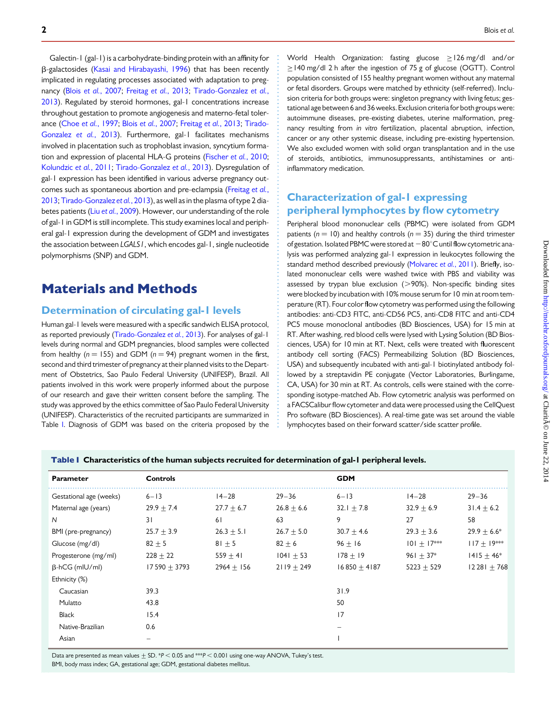<span id="page-1-0"></span>2 Blois et al.  $\blacksquare$ 

Downloaded from http://molehr.oxfordjournals.org/ at Charit $\tilde{A}$ © on June 22, 2014 Downloaded from <http://molehr.oxfordjournals.org/> at CharitA© on June 22, 2014

Galectin-1 (gal-1) is a carbohydrate-binding protein with an affinity for b-galactosides ([Kasai and Hirabayashi, 1996\)](#page-5-0) that has been recently implicated in regulating processes associated with adaptation to pregnancy (Blois et al.[, 2007](#page-5-0); Freitag et al.[, 2013;](#page-5-0) [Tirado-Gonzalez](#page-5-0) et al., [2013](#page-5-0)). Regulated by steroid hormones, gal-1 concentrations increase throughout gestation to promote angiogenesis and materno-fetal tolerance (Choe et al.[, 1997](#page-5-0); Blois et al.[, 2007;](#page-5-0) [Freitag](#page-5-0) et al., 2013; [Tirado-](#page-5-0)[Gonzalez](#page-5-0) et al., 2013). Furthermore, gal-1 facilitates mechanisms involved in placentation such as trophoblast invasion, syncytium formation and expression of placental HLA-G proteins [\(Fischer](#page-5-0) et al., 2010; [Kolundzic](#page-5-0) et al., 2011; [Tirado-Gonzalez](#page-5-0) et al., 2013). Dysregulation of gal-1 expression has been identified in various adverse pregnancy outcomes such as spontaneous abortion and pre-eclampsia ([Freitag](#page-5-0) et al., [2013](#page-5-0); [Tirado-Gonzalez](#page-5-0) et al., 2013), as well as in the plasma of type 2 diabetes patients (Liu et al.[, 2009](#page-5-0)). However, our understanding of the role of gal-1 in GDM is still incomplete. This study examines local and peripheral gal-1 expression during the development of GDM and investigates the association between LGALS1, which encodes gal-1, single nucleotide polymorphisms (SNP) and GDM.

## Materials and Methods

### Determination of circulating gal-1 levels

Human gal-1 levels were measured with a specific sandwich ELISA protocol, as reported previously [\(Tirado-Gonzalez](#page-5-0) et al., 2013). For analyses of gal-1 levels during normal and GDM pregnancies, blood samples were collected from healthy ( $n = 155$ ) and GDM ( $n = 94$ ) pregnant women in the first, second and third trimester of pregnancy at their planned visits to the Department of Obstetrics, Sao Paulo Federal University (UNIFESP), Brazil. All patients involved in this work were properly informed about the purpose of our research and gave their written consent before the sampling. The study was approved by the ethics committee of Sao Paulo Federal University (UNIFESP). Characteristics of the recruited participants are summarized in Table I. Diagnosis of GDM was based on the criteria proposed by the

World Health Organization: fasting glucose >126 mg/dl and/or ≥140 mg/dl 2 h after the ingestion of 75 g of glucose (OGTT). Control population consisted of 155 healthy pregnant women without any maternal or fetal disorders. Groups were matched by ethnicity (self-referred). Inclusion criteria for both groups were: singleton pregnancy with living fetus; gestational age between 6 and 36 weeks. Exclusion criteria for both groups were: autoimmune diseases, pre-existing diabetes, uterine malformation, pregnancy resulting from in vitro fertilization, placental abruption, infection, cancer or any other systemic disease, including pre-existing hypertension. We also excluded women with solid organ transplantation and in the use of steroids, antibiotics, immunosuppressants, antihistamines or antiinflammatory medication.

## Characterization of gal-1 expressing peripheral lymphocytes by flow cytometry

Peripheral blood mononuclear cells (PBMC) were isolated from GDM patients ( $n = 10$ ) and healthy controls ( $n = 35$ ) during the third trimester of gestation. Isolated PBMC were stored at  $-80^{\circ}$ C until flow cytometric analysis was performed analyzing gal-1 expression in leukocytes following the standard method described previously ([Molvarec](#page-5-0) et al., 2011). Briefly, isolated mononuclear cells were washed twice with PBS and viability was assessed by trypan blue exclusion  $(>90%)$ . Non-specific binding sites were blocked by incubation with 10% mouse serum for 10 min at room temperature (RT). Four color flow cytometry was performed using the following antibodies: anti-CD3 FITC, anti-CD56 PC5, anti-CD8 FITC and anti-CD4 PC5 mouse monoclonal antibodies (BD Biosciences, USA) for 15 min at RT. After washing, red blood cells were lysed with Lysing Solution (BD Biosciences, USA) for 10 min at RT. Next, cells were treated with fluorescent antibody cell sorting (FACS) Permeabilizing Solution (BD Biosciences, USA) and subsequently incubated with anti-gal-1 biotinylated antibody followed by a streptavidin PE conjugate (Vector Laboratories, Burlingame, CA, USA) for 30 min at RT. As controls, cells were stained with the corresponding isotype-matched Ab. Flow cytometric analysis was performed on a FACSCalibur flow cytometer and data were processed using the CellQuest Pro software (BD Biosciences). A real-time gate was set around the viable lymphocytes based on their forward scatter/side scatter profile.

|  |  |  |  |  |  |  | Table I Characteristics of the human subjects recruited for determination of gal-I peripheral levels. |
|--|--|--|--|--|--|--|-------------------------------------------------------------------------------------------------------|
|--|--|--|--|--|--|--|-------------------------------------------------------------------------------------------------------|

| <b>Parameter</b>        | <b>Controls</b> |                |                | <b>GDM</b>     |               |               |
|-------------------------|-----------------|----------------|----------------|----------------|---------------|---------------|
| Gestational age (weeks) | $6 - 13$        | $14 - 28$      | $29 - 36$      | $6 - 13$       | $14 - 28$     | $29 - 36$     |
| Maternal age (years)    | $29.9 \pm 7.4$  | $27.7 + 6.7$   | $26.8 \pm 6.6$ | $32.1 + 7.8$   | $32.9 + 6.9$  | $31.4 + 6.2$  |
| N                       | 31              | 61             | 63             | 9              | 27            | 58            |
| BMI (pre-pregnancy)     | $25.7 \pm 3.9$  | $26.3 \pm 5.1$ | $26.7 + 5.0$   | $30.7 + 4.6$   | $29.3 + 3.6$  | $29.9 + 6.6*$ |
| Glucose (mg/dl)         | $82 + 5$        | $81 + 5$       | $82 + 6$       | $96 + 16$      | $101 + 17***$ | $117 + 19***$ |
| Progesterone (mg/ml)    | $228 + 22$      | $559 + 41$     | $1041 + 53$    | $178 + 19$     | $961 + 37*$   | $1415 + 46*$  |
| $\beta$ -hCG (mlU/ml)   | $17590 + 3793$  | $2964 + 156$   | $2119 + 249$   | $16850 + 4187$ | $5223 + 529$  | $12281 + 768$ |
| Ethnicity (%)           |                 |                |                |                |               |               |
| Caucasian               | 39.3            |                |                | 31.9           |               |               |
| Mulatto                 | 43.8            |                |                | 50             |               |               |
| <b>Black</b>            | 15.4            |                |                | 17             |               |               |
| Native-Brazilian        | 0.6             |                |                |                |               |               |
| Asian                   |                 |                |                |                |               |               |

Data are presented as mean values  $\pm$  SD. \*P < 0.05 and \*\*\*P < 0.001 using one-way ANOVA, Tukey's test. BMI, body mass index; GA, gestational age; GDM, gestational diabetes mellitus.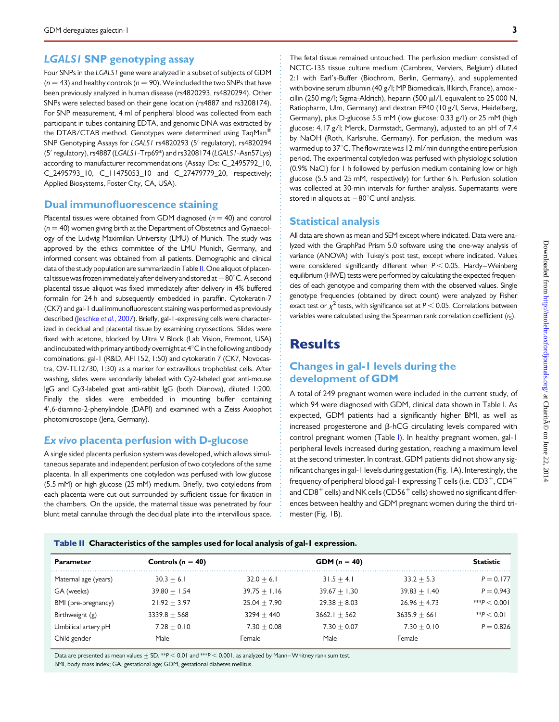## LGALS1 SNP genotyping assay

Four SNPs in the LGALS1 gene were analyzed in a subset of subjects of GDM  $(n = 43)$  and healthy controls  $(n = 90)$ . We included the two SNPs that have been previously analyzed in human disease (rs4820293, rs4820294). Other SNPs were selected based on their gene location (rs4887 and rs3208174). For SNP measurement, 4 ml of peripheral blood was collected from each participant in tubes containing EDTA, and genomic DNA was extracted by the DTAB/CTAB method. Genotypes were determined using TaqMan<sup>®</sup> SNP Genotyping Assays for LGALS1 rs4820293 (5' regulatory), rs4820294 (5′ regulatory), rs4887 (LGALS1-Trp69\*) and rs3208174 (LGALS1-Asn57Lys) according to manufacturer recommendations (Assay IDs: C\_2495792\_10, C\_2495793\_10, C\_11475053\_10 and C\_27479779\_20, respectively; Applied Biosystems, Foster City, CA, USA).

#### Dual immunofluorescence staining

Placental tissues were obtained from GDM diagnosed ( $n = 40$ ) and control  $(n = 40)$  women giving birth at the Department of Obstetrics and Gynaecology of the Ludwig Maximilian University (LMU) of Munich. The study was approved by the ethics committee of the LMU Munich, Germany, and informed consent was obtained from all patients. Demographic and clinical data of the study population are summarized in Table II. One aliquot of placental tissue was frozen immediately after delivery and stored at  $-80^{\circ}$ C. A second placental tissue aliquot was fixed immediately after delivery in 4% buffered formalin for 24 h and subsequently embedded in paraffin. Cytokeratin-7 (CK7) and gal-1 dual immunofluorescent staining was performed as previously described [\(Jeschke](#page-5-0) et al., 2007). Briefly, gal-1-expressing cells were characterized in decidual and placental tissue by examining cryosections. Slides were fixed with acetone, blocked by Ultra V Block (Lab Vision, Fremont, USA) and incubated with primary antibody overnight at  $4^{\circ}$ C in the following antibody combinations: gal-1 (R&D, AF1152, 1:50) and cytokeratin 7 (CK7, Novocastra, OV-TL12/30, 1:30) as a marker for extravillous trophoblast cells. After washing, slides were secondarily labeled with Cy2-labeled goat anti-mouse IgG and Cy3-labeled goat anti-rabbit IgG (both Dianova), diluted 1:200. Finally the slides were embedded in mounting buffer containing 4′ ,6-diamino-2-phenylindole (DAPI) and examined with a Zeiss Axiophot photomicroscope (Jena, Germany).

### Ex vivo placenta perfusion with D-glucose

A single sided placenta perfusion system was developed, which allows simultaneous separate and independent perfusion of two cotyledons of the same placenta. In all experiments one cotyledon was perfused with low glucose (5.5 mM) or high glucose (25 mM) medium. Briefly, two cotyledons from each placenta were cut out surrounded by sufficient tissue for fixation in the chambers. On the upside, the maternal tissue was penetrated by four blunt metal cannulae through the decidual plate into the intervillous space.

The fetal tissue remained untouched. The perfusion medium consisted of NCTC-135 tissue culture medium (Cambrex, Verviers, Belgium) diluted 2:1 with Earl's-Buffer (Biochrom, Berlin, Germany), and supplemented with bovine serum albumin (40 g/l; MP Biomedicals, Illkirch, France), amoxicillin (250 mg/l; Sigma-Aldrich), heparin (500 µl/l, equivalent to 25 000 N, Ratiopharm, Ulm, Germany) and dextran FP40 (10 g/l, Serva, Heidelberg, Germany), plus D-glucose 5.5 mM (low glucose: 0.33 g/l) or 25 mM (high glucose: 4.17 g/l; Merck, Darmstadt, Germany), adjusted to an pH of 7.4 by NaOH (Roth, Karlsruhe, Germany). For perfusion, the medium was warmed up to  $37^{\circ}$ C. The flow rate was 12 ml/min during the entire perfusion period. The experimental cotyledon was perfused with physiologic solution (0.9% NaCl) for 1 h followed by perfusion medium containing low or high glucose (5.5 and 25 mM, respectively) for further 6 h. Perfusion solution was collected at 30-min intervals for further analysis. Supernatants were stored in aliquots at  $-80^{\circ}$ C until analysis.

#### Statistical analysis

All data are shown as mean and SEM except where indicated. Data were analyzed with the GraphPad Prism 5.0 software using the one-way analysis of variance (ANOVA) with Tukey's post test, except where indicated. Values were considered significantly different when  $P < 0.05$ . Hardy–Weinberg equilibrium (HWE) tests were performed by calculating the expected frequencies of each genotype and comparing them with the observed values. Single genotype frequencies (obtained by direct count) were analyzed by Fisher exact test or  $\chi^2$  tests, with significance set at  $P < 0.05$ . Correlations between variables were calculated using the Spearman rank correlation coefficient  $(r<sub>c</sub>)$ .

## **Results**

## Changes in gal-1 levels during the development of GDM

A total of 249 pregnant women were included in the current study, of which 94 were diagnosed with GDM, clinical data shown in Table [I](#page-1-0). As expected, GDM patients had a significantly higher BMI, as well as increased progesterone and  $\beta$ -hCG circulating levels compared with control pregnant women (Table [I\)](#page-1-0). In healthy pregnant women, gal-1 peripheral levels increased during gestation, reaching a maximum level at the second trimester. In contrast, GDM patients did not show any significant changes in gal-1 levels during gestation (Fig. [1A](#page-3-0)). Interestingly, the frequency of peripheral blood gal-1 expressing T cells (i.e.  $CD3^+$ ,  $CD4^+$ and  $CD8^+$  cells) and NK cells ( $CD56^+$  cells) showed no significant differences between healthy and GDM pregnant women during the third tri-mester (Fig. [1B](#page-3-0)).

Table II Characteristics of the samples used for local analysis of gal-1 expression.

| <b>Parameter</b>     | Controls ( $n = 40$ ) |                | <b>GDM</b> $(n = 40)$ |                | <b>Statistic</b> |
|----------------------|-----------------------|----------------|-----------------------|----------------|------------------|
| Maternal age (years) | $30.3 + 6.1$          | $32.0 + 6.1$   | $31.5 + 4.1$          | $33.2 + 5.3$   | $P = 0.177$      |
| GA (weeks)           | $39.80 + 1.54$        | $39.75 + 1.16$ | $39.67 + 1.30$        | $39.83 + 1.40$ | $P = 0.943$      |
| BMI (pre-pregnancy)  | $21.92 + 3.97$        | $25.04 + 7.90$ | $29.38 + 8.03$        | $26.96 + 4.73$ | *** $P < 0.001$  |
| Birthweight (g)      | $3339.8 + 568$        | $3294 + 440$   | $3662.1 + 562$        | $3635.9 + 661$ | $*$ $P < 0.01$   |
| Umbilical artery pH  | $7.28 + 0.10$         | $7.30 + 0.08$  | $7.30 + 0.07$         | $7.30 + 0.10$  | $P = 0.826$      |
| Child gender         | Male                  | Female         | Male                  | Female         |                  |

Data are presented as mean values  $\pm$  SD. \*\*P < 0.01 and \*\*\*P < 0.001, as analyzed by Mann-Whitney rank sum test. BMI, body mass index; GA, gestational age; GDM, gestational diabetes mellitus.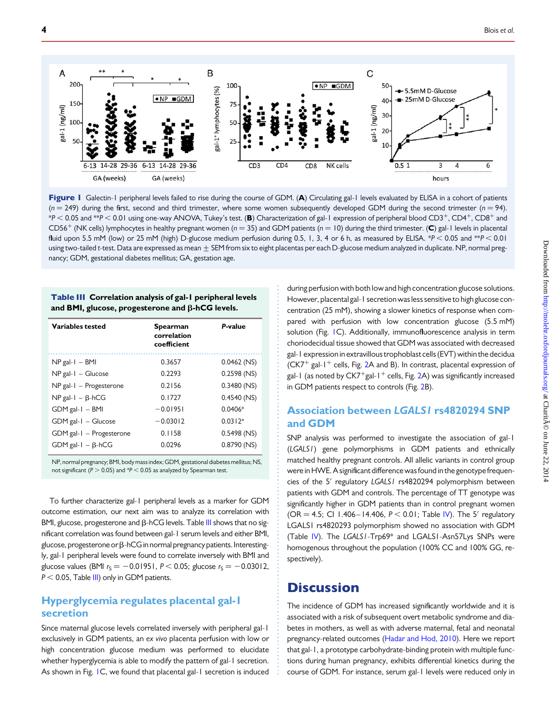<span id="page-3-0"></span>

Figure I Galectin-1 peripheral levels failed to rise during the course of GDM. (A) Circulating gal-1 levels evaluated by ELISA in a cohort of patients  $(n = 249)$  during the first, second and third trimester, where some women subsequently developed GDM during the second trimester ( $n = 94$ ).  $*P < 0.05$  and  $*P < 0.01$  using one-way ANOVA, Tukey's test. (B) Characterization of gal-1 expression of peripheral blood CD3<sup>+</sup>, CD4<sup>+</sup>, CD8<sup>+</sup> and CD56<sup>+</sup> (NK cells) lymphocytes in healthy pregnant women ( $n = 35$ ) and GDM patients ( $n = 10$ ) during the third trimester. (C) gal-1 levels in placental fluid upon 5.5 mM (low) or 25 mM (high) D-glucose medium perfusion during 0.5, 1, 3, 4 or 6 h, as measured by ELISA. \*P < 0.05 and \*\*P < 0.01 using two-tailed t-test. Data are expressed as mean  $\pm$  SEM from six to eight placentas per each D-glucose medium analyzed in duplicate. NP, normal pregnancy; GDM, gestational diabetes mellitus; GA, gestation age.

#### Table III Correlation analysis of gal-1 peripheral levels and BMI, glucose, progesterone and  $\beta$ -hCG levels.

| Variables tested             | Spearman<br>correlation<br>coefficient | P-value       |
|------------------------------|----------------------------------------|---------------|
| $NP$ gal- $I - BMI$          | 0.3657                                 | $0.0462$ (NS) |
| $NP$ gal- $I - Glucose$      | 0.2293                                 | $0.2598$ (NS) |
| $NP$ gal- $I - Progesterone$ | 0.2156                                 | $0.3480$ (NS) |
| $NP$ gal-1 – $\beta$ -hCG    | 0.1727                                 | $0.4540$ (NS) |
| $GDM$ gal- $I - BMI$         | $-0.01951$                             | 0.0406*       |
| $GDM$ gal-1 – Glucose        | $-0.03012$                             | $0.0312*$     |
| GDM gal-1 - Progesterone     | 0.1158                                 | $0.5498$ (NS) |
| $GDM$ gal-1 $ \beta$ -hCG    | 0.0296                                 | $0.8790$ (NS) |

NP, normal pregnancy; BMI, body mass index; GDM, gestational diabetes mellitus; NS, not significant ( $P > 0.05$ ) and  $P < 0.05$  as analyzed by Spearman test.

To further characterize gal-1 peripheral levels as a marker for GDM outcome estimation, our next aim was to analyze its correlation with BMI, glucose, progesterone and  $\beta$ -hCG levels. Table III shows that no significant correlation was found between gal-1 serum levels and either BMI, glucose, progesterone or  $\beta$ -hCG in normal pregnancy patients. Interestingly, gal-1 peripheral levels were found to correlate inversely with BMI and glucose values (BMI  $r_S = -0.01951$ ,  $P < 0.05$ ; glucose  $r_S = -0.03012$ ,  $P < 0.05$ , Table III) only in GDM patients.

## Hyperglycemia regulates placental gal-1 secretion

Since maternal glucose levels correlated inversely with peripheral gal-1 exclusively in GDM patients, an ex vivo placenta perfusion with low or high concentration glucose medium was performed to elucidate whether hyperglycemia is able to modify the pattern of gal-1 secretion. As shown in Fig. 1C, we found that placental gal-1 secretion is induced

during perfusion with both low and high concentration glucose solutions. However, placental gal-1 secretion was less sensitive to high glucose concentration (25 mM), showing a slower kinetics of response when compared with perfusion with low concentration glucose (5.5 mM) solution (Fig. IC). Additionally, immunofluorescence analysis in term choriodecidual tissue showed that GDM was associated with decreased gal-1 expression in extravillous trophoblast cells (EVT) within the decidua (CK7<sup>+</sup> gal-1<sup>+</sup> cells, Fig. [2](#page-4-0)A and B). In contrast, placental expression of gal-1 (as noted by  $CK7^{+}$ gal-1<sup>+</sup> cells, Fig. [2](#page-4-0)A) was significantly increased in GDM patients respect to controls (Fig. [2B](#page-4-0)).

## Association between LGALS1 rs4820294 SNP and GDM

SNP analysis was performed to investigate the association of gal-1 (LGALS1) gene polymorphisms in GDM patients and ethnically matched healthy pregnant controls. All allelic variants in control group were in HWE. A significant difference was found in the genotype frequencies of the 5′ regulatory LGALS1 rs4820294 polymorphism between patients with GDM and controls. The percentage of TT genotype was significantly higher in GDM patients than in control pregnant women (OR = 4.5; CI 1.406–14.406,  $P < 0.01$ ; Table [IV](#page-4-0)). The 5' regulatory LGALS1 rs4820293 polymorphism showed no association with GDM (Table [IV](#page-4-0)). The LGALS1-Trp69\* and LGALS1-Asn57Lys SNPs were homogenous throughout the population (100% CC and 100% GG, respectively).

## **Discussion**

The incidence of GDM has increased significantly worldwide and it is associated with a risk of subsequent overt metabolic syndrome and diabetes in mothers, as well as with adverse maternal, fetal and neonatal pregnancy-related outcomes ([Hadar and Hod, 2010](#page-5-0)). Here we report that gal-1, a prototype carbohydrate-binding protein with multiple functions during human pregnancy, exhibits differential kinetics during the course of GDM. For instance, serum gal-1 levels were reduced only in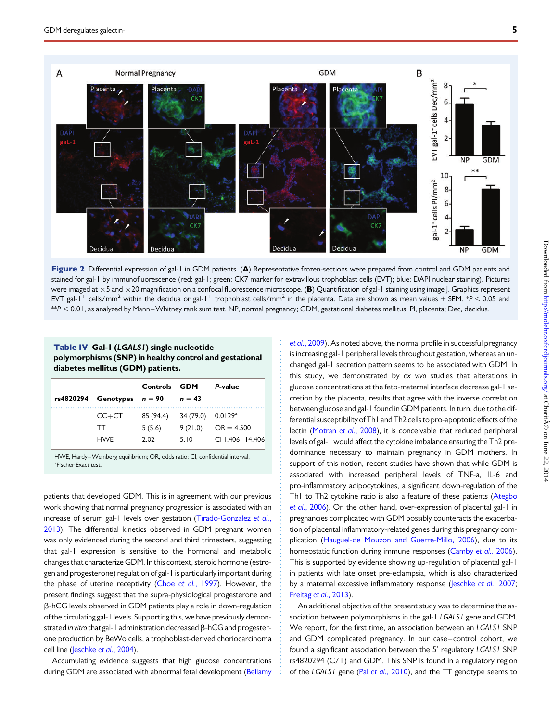<span id="page-4-0"></span>

Figure 2 Differential expression of gal-1 in GDM patients. (A) Representative frozen-sections were prepared from control and GDM patients and stained for gal-1 by immunofluorescence (red: gal-1; green: CK7 marker for extravillous trophoblast cells (EVT); blue: DAPI nuclear staining). Pictures were imaged at  $\times$ 5 and  $\times$ 20 magnification on a confocal fluorescence microscope. (B) Quantification of gal-1 staining using image J. Graphics represent EVT gal-1<sup>+</sup> cells/mm<sup>2</sup> within the decidua or gal-1<sup>+</sup> trophoblast cells/mm<sup>2</sup> in the placenta. Data are shown as mean values  $\pm$  SEM. \*P < 0.05 and \*\*P , 0.01, as analyzed by Mann –Whitney rank sum test. NP, normal pregnancy; GDM, gestational diabetes mellitus; Pl, placenta; Dec, decidua.

#### Table IV Gal-1 (LGALS1) single nucleotide polymorphisms (SNP) in healthy control and gestational diabetes mellitus (GDM) patients.

|                              | Controls GDM |           | P-value             |
|------------------------------|--------------|-----------|---------------------|
| rs4820294 Genotypes $n = 90$ |              | $n = 43$  |                     |
| $CC+CT$                      | 85 (94.4)    | 34 (79.0) | $0.0129^{\rm a}$    |
| <b>TT</b>                    | 5(5.6)       | 9(21.0)   | $OR = 4.500$        |
| <b>HWF</b>                   | 2.02         | 5.10      | $CI$   406 - 14 406 |

HWE, Hardy-Weinberg equilibrium; OR, odds ratio; CI, confidential interval. <sup>a</sup>Fischer Exact test.

patients that developed GDM. This is in agreement with our previous work showing that normal pregnancy progression is associated with an increase of serum gal-1 levels over gestation [\(Tirado-Gonzalez](#page-5-0) et al., [2013](#page-5-0)). The differential kinetics observed in GDM pregnant women was only evidenced during the second and third trimesters, suggesting that gal-1 expression is sensitive to the hormonal and metabolic changes that characterize GDM. In this context, steroid hormone (estrogen and progesterone) regulation of gal-1 is particularly important during the phase of uterine receptivity (Choe et al.[, 1997](#page-5-0)). However, the present findings suggest that the supra-physiological progesterone and  $\beta$ -hCG levels observed in GDM patients play a role in down-regulation of the circulating gal-1 levels. Supporting this, we have previously demonstrated in vitro that gal-1 administration decreased  $\beta$ -hCG and progesterone production by BeWo cells, a trophoblast-derived choriocarcinoma cell line [\(Jeschke](#page-5-0) et al., 2004).

Accumulating evidence suggests that high glucose concentrations during GDM are associated with abnormal fetal development [\(Bellamy](#page-5-0)

et al.[, 2009\)](#page-5-0). As noted above, the normal profile in successful pregnancy is increasing gal-1 peripheral levels throughout gestation, whereas an unchanged gal-1 secretion pattern seems to be associated with GDM. In this study, we demonstrated by ex vivo studies that alterations in glucose concentrations at the feto-maternal interface decrease gal-1 secretion by the placenta, results that agree with the inverse correlation between glucose and gal-1 found in GDM patients. In turn, due to the differential susceptibility of Th1 and Th2 cells to pro-apoptotic effects of the lectin [\(Motran](#page-5-0) et al., 2008), it is conceivable that reduced peripheral levels of gal-1 would affect the cytokine imbalance ensuring the Th2 predominance necessary to maintain pregnancy in GDM mothers. In support of this notion, recent studies have shown that while GDM is associated with increased peripheral levels of TNF-a, IL-6 and pro-inflammatory adipocytokines, a significant down-regulation of the Th1 to Th2 cytokine ratio is also a feature of these patients ([Ategbo](#page-5-0) et al.[, 2006](#page-5-0)). On the other hand, over-expression of placental gal-1 in pregnancies complicated with GDM possibly counteracts the exacerbation of placental inflammatory-related genes during this pregnancy complication [\(Hauguel-de Mouzon and Guerre-Millo, 2006](#page-5-0)), due to its homeostatic function during immune responses [\(Camby](#page-5-0) et al., 2006). This is supported by evidence showing up-regulation of placental gal-1 in patients with late onset pre-eclampsia, which is also characterized by a maternal excessive inflammatory response ([Jeschke](#page-5-0) et al., 2007; [Freitag](#page-5-0) et al., 2013).

An additional objective of the present study was to determine the association between polymorphisms in the gal-1 LGALS1 gene and GDM. We report, for the first time, an association between an LGALS1 SNP and GDM complicated pregnancy. In our case–control cohort, we found a significant association between the 5′ regulatory LGALS1 SNP rs4820294 (C/T) and GDM. This SNP is found in a regulatory region of the LGALS1 gene (Pal et al.[, 2010\)](#page-5-0), and the TT genotype seems to